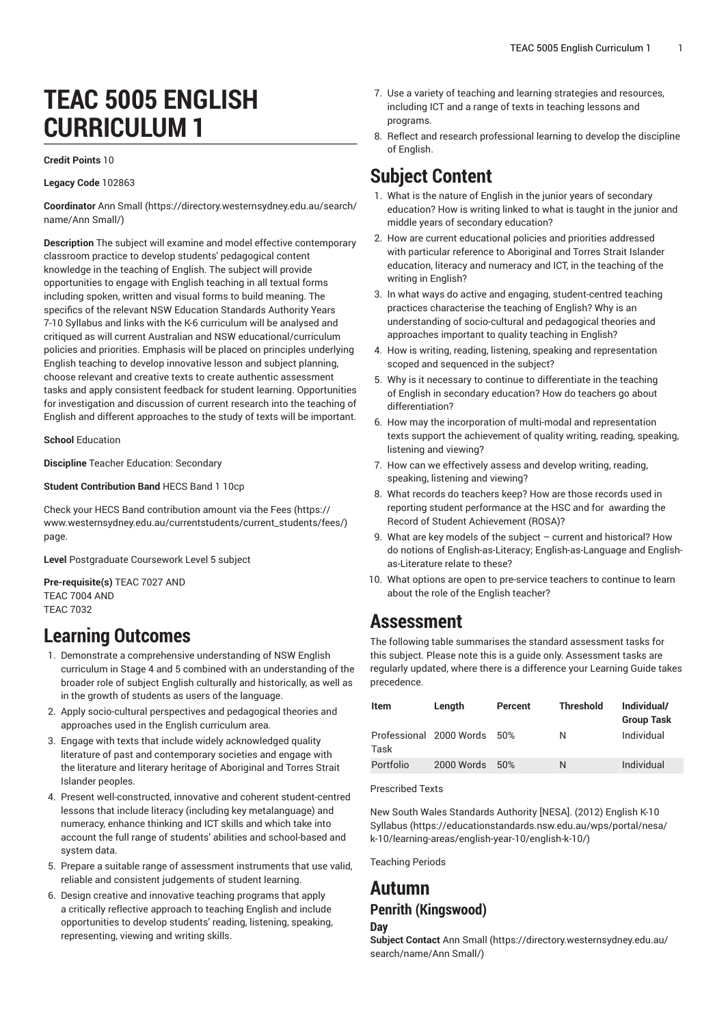# **TEAC 5005 ENGLISH CURRICULUM 1**

#### **Credit Points** 10

**Legacy Code** 102863

**Coordinator** [Ann Small](https://directory.westernsydney.edu.au/search/name/Ann Small/) ([https://directory.westernsydney.edu.au/search/](https://directory.westernsydney.edu.au/search/name/Ann Small/) [name/Ann Small/](https://directory.westernsydney.edu.au/search/name/Ann Small/))

**Description** The subject will examine and model effective contemporary classroom practice to develop students' pedagogical content knowledge in the teaching of English. The subject will provide opportunities to engage with English teaching in all textual forms including spoken, written and visual forms to build meaning. The specifics of the relevant NSW Education Standards Authority Years 7-10 Syllabus and links with the K-6 curriculum will be analysed and critiqued as will current Australian and NSW educational/curriculum policies and priorities. Emphasis will be placed on principles underlying English teaching to develop innovative lesson and subject planning, choose relevant and creative texts to create authentic assessment tasks and apply consistent feedback for student learning. Opportunities for investigation and discussion of current research into the teaching of English and different approaches to the study of texts will be important.

**School** Education

**Discipline** Teacher Education: Secondary

**Student Contribution Band** HECS Band 1 10cp

Check your HECS Band contribution amount via the [Fees \(https://](https://www.westernsydney.edu.au/currentstudents/current_students/fees/) [www.westernsydney.edu.au/currentstudents/current\\_students/fees/\)](https://www.westernsydney.edu.au/currentstudents/current_students/fees/) page.

**Level** Postgraduate Coursework Level 5 subject

**Pre-requisite(s)** [TEAC 7027](/search/?P=TEAC%207027) AND [TEAC 7004](/search/?P=TEAC%207004) AND [TEAC 7032](/search/?P=TEAC%207032)

### **Learning Outcomes**

- 1. Demonstrate a comprehensive understanding of NSW English curriculum in Stage 4 and 5 combined with an understanding of the broader role of subject English culturally and historically, as well as in the growth of students as users of the language.
- 2. Apply socio-cultural perspectives and pedagogical theories and approaches used in the English curriculum area.
- 3. Engage with texts that include widely acknowledged quality literature of past and contemporary societies and engage with the literature and literary heritage of Aboriginal and Torres Strait Islander peoples.
- 4. Present well-constructed, innovative and coherent student-centred lessons that include literacy (including key metalanguage) and numeracy, enhance thinking and ICT skills and which take into account the full range of students' abilities and school-based and system data.
- 5. Prepare a suitable range of assessment instruments that use valid, reliable and consistent judgements of student learning.
- 6. Design creative and innovative teaching programs that apply a critically reflective approach to teaching English and include opportunities to develop students' reading, listening, speaking, representing, viewing and writing skills.
- 7. Use a variety of teaching and learning strategies and resources, including ICT and a range of texts in teaching lessons and programs.
- 8. Reflect and research professional learning to develop the discipline of English.

## **Subject Content**

- 1. What is the nature of English in the junior years of secondary education? How is writing linked to what is taught in the junior and middle years of secondary education?
- 2. How are current educational policies and priorities addressed with particular reference to Aboriginal and Torres Strait Islander education, literacy and numeracy and ICT, in the teaching of the writing in English?
- 3. In what ways do active and engaging, student-centred teaching practices characterise the teaching of English? Why is an understanding of socio-cultural and pedagogical theories and approaches important to quality teaching in English?
- 4. How is writing, reading, listening, speaking and representation scoped and sequenced in the subject?
- 5. Why is it necessary to continue to differentiate in the teaching of English in secondary education? How do teachers go about differentiation?
- 6. How may the incorporation of multi-modal and representation texts support the achievement of quality writing, reading, speaking, listening and viewing?
- 7. How can we effectively assess and develop writing, reading, speaking, listening and viewing?
- 8. What records do teachers keep? How are those records used in reporting student performance at the HSC and for awarding the Record of Student Achievement (ROSA)?
- 9. What are key models of the subject current and historical? How do notions of English-as-Literacy; English-as-Language and Englishas-Literature relate to these?
- 10. What options are open to pre-service teachers to continue to learn about the role of the English teacher?

### **Assessment**

The following table summarises the standard assessment tasks for this subject. Please note this is a guide only. Assessment tasks are regularly updated, where there is a difference your Learning Guide takes precedence.

| Item      | Length                  | Percent | <b>Threshold</b> | Individual/<br><b>Group Task</b> |
|-----------|-------------------------|---------|------------------|----------------------------------|
| Task      | Professional 2000 Words | .50%    | N                | Individual                       |
| Portfolio | 2000 Words              | 50%     | N                | Individual                       |

Prescribed Texts

New South Wales [Standards](https://educationstandards.nsw.edu.au/wps/portal/nesa/k-10/learning-areas/english-year-10/english-k-10/) Authority [NESA]. (2012) English K-10 [Syllabus](https://educationstandards.nsw.edu.au/wps/portal/nesa/k-10/learning-areas/english-year-10/english-k-10/) ([https://educationstandards.nsw.edu.au/wps/portal/nesa/](https://educationstandards.nsw.edu.au/wps/portal/nesa/k-10/learning-areas/english-year-10/english-k-10/) [k-10/learning-areas/english-year-10/english-k-10/](https://educationstandards.nsw.edu.au/wps/portal/nesa/k-10/learning-areas/english-year-10/english-k-10/))

Teaching Periods

### **Autumn Penrith (Kingswood)**

#### **Day**

**Subject Contact** [Ann Small](https://directory.westernsydney.edu.au/search/name/Ann Small/) ([https://directory.westernsydney.edu.au/](https://directory.westernsydney.edu.au/search/name/Ann Small/) [search/name/Ann](https://directory.westernsydney.edu.au/search/name/Ann Small/) Small/)